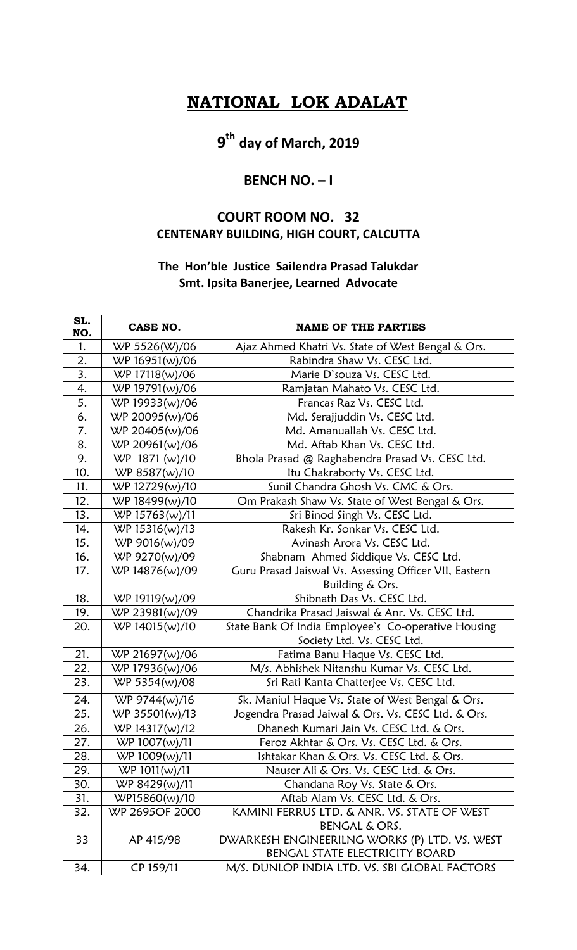## **NATIONAL LOK ADALAT**

# **9 th day of March, 2019**

### **BENCH NO. – I**

### **COURT ROOM NO. 32 CENTENARY BUILDING, HIGH COURT, CALCUTTA**

#### **The Hon'ble Justice Sailendra Prasad Talukdar Smt. Ipsita Banerjee, Learned Advocate**

| SL.<br>NO.       | CASE NO.       | <b>NAME OF THE PARTIES</b>                             |
|------------------|----------------|--------------------------------------------------------|
| 1.               | WP 5526(W)/06  | Ajaz Ahmed Khatri Vs. State of West Bengal & Ors.      |
| 2.               | WP 16951(w)/06 | Rabindra Shaw Vs. CESC Ltd.                            |
| $\overline{3}$ . | WP 17118(w)/06 | Marie D'souza Vs. CESC Ltd.                            |
| 4.               | WP 19791(w)/06 | Ramjatan Mahato Vs. CESC Ltd.                          |
| 5.               | WP 19933(w)/06 | Francas Raz Vs. CESC Ltd.                              |
| 6.               | WP 20095(w)/06 | Md. Serajjuddin Vs. CESC Ltd.                          |
| 7.               | WP 20405(w)/06 | Md. Amanuallah Vs. CESC Ltd.                           |
| 8.               | WP 20961(w)/06 | Md. Aftab Khan Vs. CESC Ltd.                           |
| 9.               | WP 1871 (w)/10 | Bhola Prasad @ Raghabendra Prasad Vs. CESC Ltd.        |
| 10.              | WP 8587(w)/10  | Itu Chakraborty Vs. CESC Ltd.                          |
| 11.              | WP 12729(w)/10 | Sunil Chandra Ghosh Vs. CMC & Ors.                     |
| 12.              | WP 18499(w)/10 | Om Prakash Shaw Vs. State of West Bengal & Ors.        |
| 13.              | WP 15763(w)/11 | Sri Binod Singh Vs. CESC Ltd.                          |
| 14.              | WP 15316(w)/13 | Rakesh Kr. Sonkar Vs. CESC Ltd.                        |
| 15.              | WP 9016(w)/09  | Avinash Arora Vs. CESC Ltd.                            |
| 16.              | WP 9270(w)/09  | Shabnam Ahmed Siddique Vs. CESC Ltd.                   |
| 17.              | WP 14876(w)/09 | Guru Prasad Jaiswal Vs. Assessing Officer VII, Eastern |
|                  |                | Building & Ors.                                        |
| 18.              | WP 19119(w)/09 | Shibnath Das Vs. CESC Ltd.                             |
| 19.              | WP 23981(w)/09 | Chandrika Prasad Jaiswal & Anr. Vs. CESC Ltd.          |
| 20.              | WP 14015(w)/10 | State Bank Of India Employee's Co-operative Housing    |
|                  |                | Society Ltd. Vs. CESC Ltd.                             |
| 21.              | WP 21697(w)/06 | Fatima Banu Haque Vs. CESC Ltd.                        |
| 22.              | WP 17936(w)/06 | M/s. Abhishek Nitanshu Kumar Vs. CESC Ltd.             |
| 23.              | WP 5354(w)/08  | Sri Rati Kanta Chatterjee Vs. CESC Ltd.                |
| 24.              | WP 9744(w)/16  | Sk. Maniul Haque Vs. State of West Bengal & Ors.       |
| 25.              | WP 35501(w)/13 | Jogendra Prasad Jaiwal & Ors. Vs. CESC Ltd. & Ors.     |
| 26.              | WP 14317(w)/12 | Dhanesh Kumari Jain Vs. CESC Ltd. & Ors.               |
| 27.              | WP 1007(w)/11  | Feroz Akhtar & Ors. Vs. CESC Ltd. & Ors.               |
| 28.              | WP 1009(w)/11  | Ishtakar Khan & Ors. Vs. CESC Ltd. & Ors.              |
| 29.              | WP 1011(w)/11  | Nauser Ali & Ors. Vs. CESC Ltd. & Ors.                 |
| 30.              | WP 8429(w)/11  | Chandana Roy Vs. State & Ors.                          |
| 31.              | WP15860(w)/10  | Aftab Alam Vs. CESC Ltd. & Ors.                        |
| 32.              | WP 2695OF 2000 | KAMINI FERRUS LTD. & ANR. VS. STATE OF WEST            |
|                  |                | BENGAL & ORS.                                          |
| 33               | AP 415/98      | DWARKESH ENGINEERILNG WORKS (P) LTD. VS. WEST          |
|                  |                | BENGAL STATE ELECTRICITY BOARD                         |
| 34.              | CP 159/11      | M/S. DUNLOP INDIA LTD. VS. SBI GLOBAL FACTORS          |